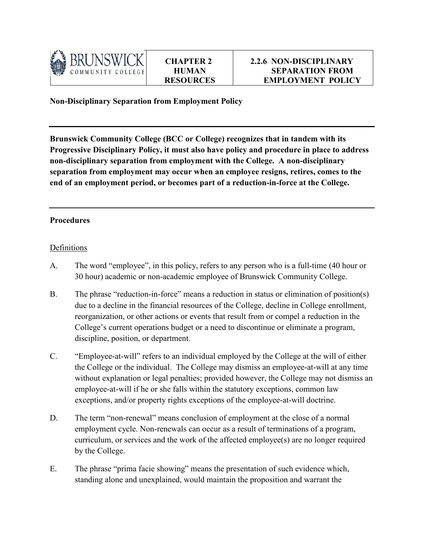

**Non-Disciplinary Separation from Employment Policy**

**Brunswick Community College (BCC or College) recognizes that in tandem with its Progressive Disciplinary Policy, it must also have policy and procedure in place to address non-disciplinary separation from employment with the College. A non-disciplinary separation from employment may occur when an employee resigns, retires, comes to the end of an employment period, or becomes part of a reduction-in-force at the College.**

## **Procedures**

## Definitions

- A. The word "employee", in this policy, refers to any person who is a full-time (40 hour or 30 hour) academic or non-academic employee of Brunswick Community College.
- B. The phrase "reduction-in-force" means a reduction in status or elimination of position(s) due to a decline in the financial resources of the College, decline in College enrollment, reorganization, or other actions or events that result from or compel a reduction in the College's current operations budget or a need to discontinue or eliminate a program, discipline, position, or department.
- C. "Employee-at-will" refers to an individual employed by the College at the will of either the College or the individual. The College may dismiss an employee-at-will at any time without explanation or legal penalties; provided however, the College may not dismiss an employee-at-will if he or she falls within the statutory exceptions, common law exceptions, and/or property rights exceptions of the employee-at-will doctrine.
- D. The term "non-renewal" means conclusion of employment at the close of a normal employment cycle. Non-renewals can occur as a result of terminations of a program, curriculum, or services and the work of the affected employee(s) are no longer required by the College.
- E. The phrase "prima facie showing" means the presentation of such evidence which, standing alone and unexplained, would maintain the proposition and warrant the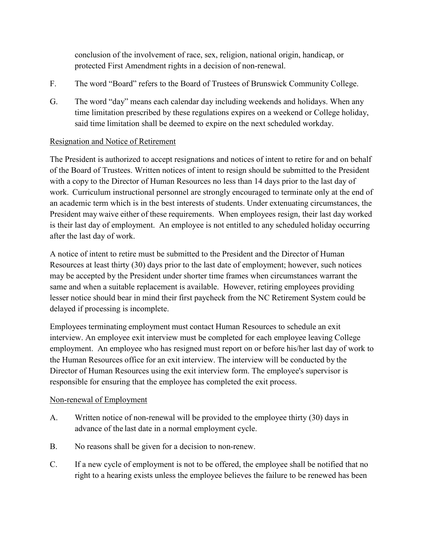conclusion of the involvement of race, sex, religion, national origin, handicap, or protected First Amendment rights in a decision of non-renewal.

- F. The word "Board" refers to the Board of Trustees of Brunswick Community College.
- G. The word "day" means each calendar day including weekends and holidays. When any time limitation prescribed by these regulations expires on a weekend or College holiday, said time limitation shall be deemed to expire on the next scheduled workday.

# Resignation and Notice of Retirement

The President is authorized to accept resignations and notices of intent to retire for and on behalf of the Board of Trustees. Written notices of intent to resign should be submitted to the President with a copy to the Director of Human Resources no less than 14 days prior to the last day of work. Curriculum instructional personnel are strongly encouraged to terminate only at the end of an academic term which is in the best interests of students. Under extenuating circumstances, the President may waive either of these requirements. When employees resign, their last day worked is their last day of employment. An employee is not entitled to any scheduled holiday occurring after the last day of work.

A notice of intent to retire must be submitted to the President and the Director of Human Resources at least thirty (30) days prior to the last date of employment; however, such notices may be accepted by the President under shorter time frames when circumstances warrant the same and when a suitable replacement is available. However, retiring employees providing lesser notice should bear in mind their first paycheck from the NC Retirement System could be delayed if processing is incomplete.

Employees terminating employment must contact Human Resources to schedule an exit interview. An employee exit interview must be completed for each employee leaving College employment. An employee who has resigned must report on or before his/her last day of work to the Human Resources office for an exit interview. The interview will be conducted by the Director of Human Resources using the exit interview form. The employee's supervisor is responsible for ensuring that the employee has completed the exit process.

## Non-renewal of Employment

- A. Written notice of non-renewal will be provided to the employee thirty (30) days in advance of the last date in a normal employment cycle.
- B. No reasons shall be given for a decision to non-renew.
- C. If a new cycle of employment is not to be offered, the employee shall be notified that no right to a hearing exists unless the employee believes the failure to be renewed has been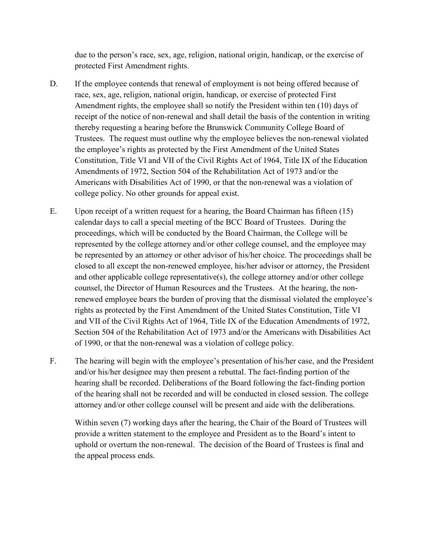due to the person's race, sex, age, religion, national origin, handicap, or the exercise of protected First Amendment rights.

- D. If the employee contends that renewal of employment is not being offered because of race, sex, age, religion, national origin, handicap, or exercise of protected First Amendment rights, the employee shall so notify the President within ten (10) days of receipt of the notice of non-renewal and shall detail the basis of the contention in writing thereby requesting a hearing before the Brunswick Community College Board of Trustees. The request must outline why the employee believes the non-renewal violated the employee's rights as protected by the First Amendment of the United States Constitution, Title VI and VII of the Civil Rights Act of 1964, Title IX of the Education Amendments of 1972, Section 504 of the Rehabilitation Act of 1973 and/or the Americans with Disabilities Act of 1990, or that the non-renewal was a violation of college policy. No other grounds for appeal exist.
- E. Upon receipt of a written request for a hearing, the Board Chairman has fifteen (15) calendar days to call a special meeting of the BCC Board of Trustees. During the proceedings, which will be conducted by the Board Chairman, the College will be represented by the college attorney and/or other college counsel, and the employee may be represented by an attorney or other advisor of his/her choice. The proceedings shall be closed to all except the non-renewed employee, his/her advisor or attorney, the President and other applicable college representative(s), the college attorney and/or other college counsel, the Director of Human Resources and the Trustees. At the hearing, the nonrenewed employee bears the burden of proving that the dismissal violated the employee's rights as protected by the First Amendment of the United States Constitution, Title VI and VII of the Civil Rights Act of 1964, Title IX of the Education Amendments of 1972, Section 504 of the Rehabilitation Act of 1973 and/or the Americans with Disabilities Act of 1990, or that the non-renewal was a violation of college policy.
- F. The hearing will begin with the employee's presentation of his/her case, and the President and/or his/her designee may then present a rebuttal. The fact-finding portion of the hearing shall be recorded. Deliberations of the Board following the fact-finding portion of the hearing shall not be recorded and will be conducted in closed session. The college attorney and/or other college counsel will be present and aide with the deliberations.

Within seven (7) working days after the hearing, the Chair of the Board of Trustees will provide a written statement to the employee and President as to the Board's intent to uphold or overturn the non-renewal. The decision of the Board of Trustees is final and the appeal process ends.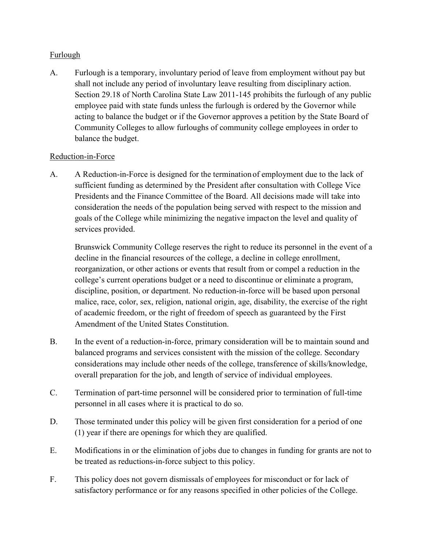# Furlough

A. Furlough is a temporary, involuntary period of leave from employment without pay but shall not include any period of involuntary leave resulting from disciplinary action. Section 29.18 of North Carolina State Law 2011-145 prohibits the furlough of any public employee paid with state funds unless the furlough is ordered by the Governor while acting to balance the budget or if the Governor approves a petition by the State Board of Community Colleges to allow furloughs of community college employees in order to balance the budget.

## Reduction-in-Force

A. A Reduction-in-Force is designed for the termination of employment due to the lack of sufficient funding as determined by the President after consultation with College Vice Presidents and the Finance Committee of the Board. All decisions made will take into consideration the needs of the population being served with respect to the mission and goals of the College while minimizing the negative impact on the level and quality of services provided.

Brunswick Community College reserves the right to reduce its personnel in the event of a decline in the financial resources of the college, a decline in college enrollment, reorganization, or other actions or events that result from or compel a reduction in the college's current operations budget or a need to discontinue or eliminate a program, discipline, position, or department. No reduction-in-force will be based upon personal malice, race, color, sex, religion, national origin, age, disability, the exercise of the right of academic freedom, or the right of freedom of speech as guaranteed by the First Amendment of the United States Constitution.

- B. In the event of a reduction-in-force, primary consideration will be to maintain sound and balanced programs and services consistent with the mission of the college. Secondary considerations may include other needs of the college, transference of skills/knowledge, overall preparation for the job, and length of service of individual employees.
- C. Termination of part-time personnel will be considered prior to termination of full-time personnel in all cases where it is practical to do so.
- D. Those terminated under this policy will be given first consideration for a period of one (1) year if there are openings for which they are qualified.
- E. Modifications in or the elimination of jobs due to changes in funding for grants are not to be treated as reductions-in-force subject to this policy.
- F. This policy does not govern dismissals of employees for misconduct or for lack of satisfactory performance or for any reasons specified in other policies of the College.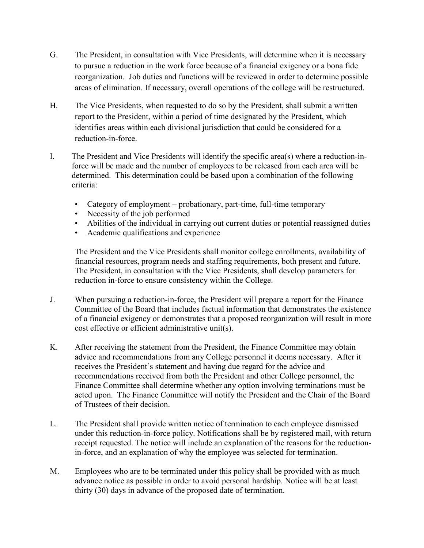- G. The President, in consultation with Vice Presidents, will determine when it is necessary to pursue a reduction in the work force because of a financial exigency or a bona fide reorganization. Job duties and functions will be reviewed in order to determine possible areas of elimination. If necessary, overall operations of the college will be restructured.
- H. The Vice Presidents, when requested to do so by the President, shall submit a written report to the President, within a period of time designated by the President, which identifies areas within each divisional jurisdiction that could be considered for a reduction-in-force.
- I. The President and Vice Presidents will identify the specific area(s) where a reduction-inforce will be made and the number of employees to be released from each area will be determined. This determination could be based upon a combination of the following criteria:
	- Category of employment probationary, part-time, full-time temporary
	- Necessity of the job performed
	- Abilities of the individual in carrying out current duties or potential reassigned duties
	- Academic qualifications and experience

The President and the Vice Presidents shall monitor college enrollments, availability of financial resources, program needs and staffing requirements, both present and future. The President, in consultation with the Vice Presidents, shall develop parameters for reduction in-force to ensure consistency within the College.

- J. When pursuing a reduction-in-force, the President will prepare a report for the Finance Committee of the Board that includes factual information that demonstrates the existence of a financial exigency or demonstrates that a proposed reorganization will result in more cost effective or efficient administrative unit(s).
- K. After receiving the statement from the President, the Finance Committee may obtain advice and recommendations from any College personnel it deems necessary. After it receives the President's statement and having due regard for the advice and recommendations received from both the President and other College personnel, the Finance Committee shall determine whether any option involving terminations must be acted upon. The Finance Committee will notify the President and the Chair of the Board of Trustees of their decision.
- L. The President shall provide written notice of termination to each employee dismissed under this reduction-in-force policy. Notifications shall be by registered mail, with return receipt requested. The notice will include an explanation of the reasons for the reductionin-force, and an explanation of why the employee was selected for termination.
- M. Employees who are to be terminated under this policy shall be provided with as much advance notice as possible in order to avoid personal hardship. Notice will be at least thirty (30) days in advance of the proposed date of termination.